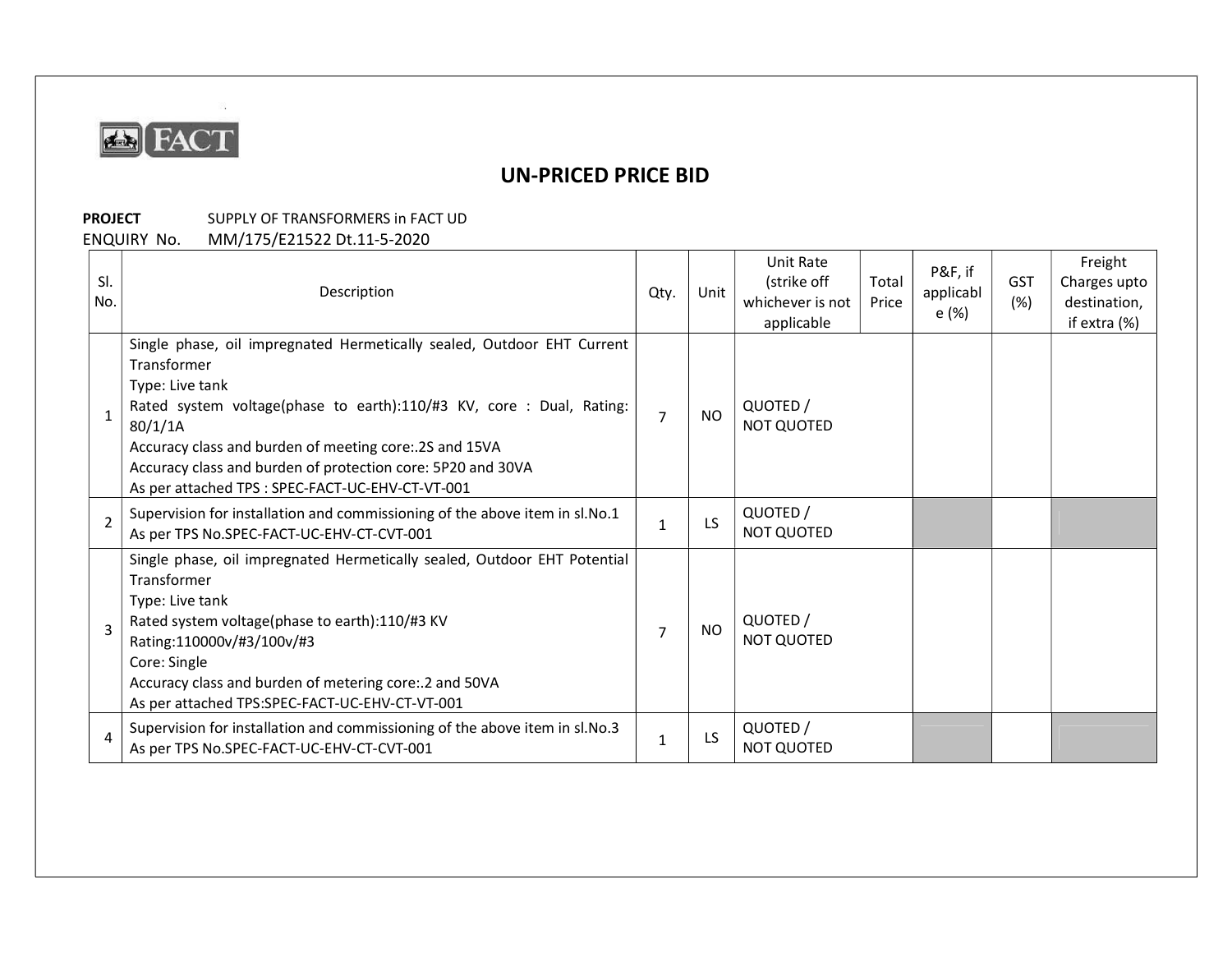

## UN-PRICED PRICE BID

## PROJECT SUPPLY OF TRANSFORMERS in FACT UD

ENQUIRY No. MM/175/E21522 Dt.11-5-2020

 $\mathcal{D}$ 

| SI.<br>No.     | Description                                                                                                                                                                                                                                                                                                                                                              | Qty.           | Unit      | Unit Rate<br>(strike off<br>whichever is not<br>applicable | Total<br>Price | P&F, if<br>applicabl<br>e (%) | <b>GST</b><br>(%) | Freight<br>Charges upto<br>destination.<br>if extra (%) |
|----------------|--------------------------------------------------------------------------------------------------------------------------------------------------------------------------------------------------------------------------------------------------------------------------------------------------------------------------------------------------------------------------|----------------|-----------|------------------------------------------------------------|----------------|-------------------------------|-------------------|---------------------------------------------------------|
|                | Single phase, oil impregnated Hermetically sealed, Outdoor EHT Current<br>Transformer<br>Type: Live tank<br>Rated system voltage(phase to earth):110/#3 KV, core : Dual, Rating:<br>80/1/1A<br>Accuracy class and burden of meeting core: 2S and 15VA<br>Accuracy class and burden of protection core: 5P20 and 30VA<br>As per attached TPS : SPEC-FACT-UC-EHV-CT-VT-001 | $\overline{7}$ | <b>NO</b> | QUOTED /<br>NOT QUOTED                                     |                |                               |                   |                                                         |
| $\mathfrak{p}$ | Supervision for installation and commissioning of the above item in sl.No.1<br>As per TPS No.SPEC-FACT-UC-EHV-CT-CVT-001                                                                                                                                                                                                                                                 | 1              | LS        | QUOTED /<br><b>NOT QUOTED</b>                              |                |                               |                   |                                                         |
| $\mathbf{3}$   | Single phase, oil impregnated Hermetically sealed, Outdoor EHT Potential<br>Transformer<br>Type: Live tank<br>Rated system voltage(phase to earth):110/#3 KV<br>Rating:110000v/#3/100v/#3<br>Core: Single<br>Accuracy class and burden of metering core: 2 and 50VA<br>As per attached TPS:SPEC-FACT-UC-EHV-CT-VT-001                                                    | $\overline{7}$ | <b>NO</b> | QUOTED /<br><b>NOT QUOTED</b>                              |                |                               |                   |                                                         |
| 4              | Supervision for installation and commissioning of the above item in sl.No.3<br>As per TPS No.SPEC-FACT-UC-EHV-CT-CVT-001                                                                                                                                                                                                                                                 | $\mathbf{1}$   | LS        | QUOTED /<br>NOT QUOTED                                     |                |                               |                   |                                                         |